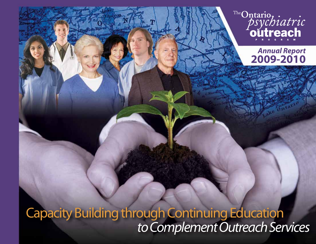The Ontario, .<br>*PSychiatric* outreach

> *Annual Report*  **2009-2010**

Capacity Building through Continuing Education  *to Complement Outreach Services*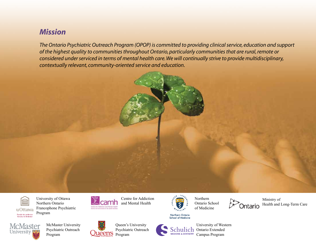# *Mission*

*The Ontario Psychiatric Outreach Program (OPOP) is committed to providing clinical service, education and support of the highest quality to communities throughout Ontario, particularly communities that are rural, remote or considered under serviced in terms of mental health care. We will continually strive to provide multidisciplinary, contextually relevant, community-oriented service and education.*





u Ottawa Faculté de médecine

**Faculty of Medicine** 

University of Ottawa Northern Ontario Francophone Psychiatric Program



McMaster University Psychiatric Outreach Program



Centre for Addiction and Mental Health

Queen's University Psychiatric Outreach

Program



Northern Ontario School of Medicine



Ministry of Health and Long-Term Care





University of Western Ontario Extended Campus Program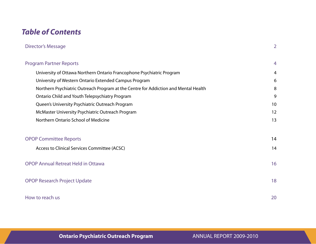# *Table of Contents*

| <b>Director's Message</b>                                                           | $\overline{2}$ |
|-------------------------------------------------------------------------------------|----------------|
| <b>Program Partner Reports</b>                                                      | $\overline{4}$ |
| University of Ottawa Northern Ontario Francophone Psychiatric Program               | 4              |
| University of Western Ontario Extended Campus Program                               | 6              |
| Northern Psychiatric Outreach Program at the Centre for Addiction and Mental Health | 8              |
| Ontario Child and Youth Telepsychiatry Program                                      | 9              |
| Queen's University Psychiatric Outreach Program                                     | 10             |
| McMaster University Psychiatric Outreach Program                                    | 12             |
| Northern Ontario School of Medicine                                                 | 13             |
| <b>OPOP Committee Reports</b>                                                       | 14             |
| Access to Clinical Services Committee (ACSC)                                        | 14             |
| OPOP Annual Retreat Held in Ottawa                                                  | 16             |
| <b>OPOP Research Project Update</b>                                                 | 18             |
| How to reach us                                                                     | 20             |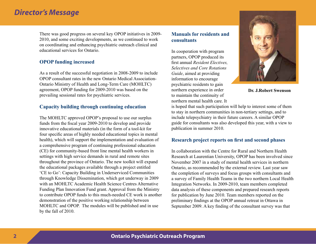# *Director's Message*

There was good progress on several key OPOP initiatives in 2009- 2010, and some exciting developments, as we continued to work on coordinating and enhancing psychiatric outreach clinical and educational services for Ontario.

#### **OPOP funding increased**

As a result of the successful negotiation in 2008-2009 to include OPOP consultant rates in the new Ontario Medical Association-Ontario Ministry of Health and Long-Term Care (MOHLTC) agreement, OPOP funding for 2009-2010 was based on the prevailing sessional rates for psychiatric services.

#### **Capacity building through continuing education**

The MOHLTC approved OPOP's proposal to use our surplus funds from the fiscal year 2009-2010 to develop and provide innovative educational materials (in the form of a tool-kit for four specific areas of highly needed educational topics in mental health), which will support the implementation and evaluation of a comprehensive program of continuing professional education (CE) for community-based front line mental health workers in settings with high service demands in rural and remote sites throughout the province of Ontario. The new toolkit will expand the educational packages available through a project entitled 'CE to Go': Capacity Building in Underserviced Communities through Knowledge Dissemination, which got underway in 2009 with an MOHLTC Academic Health Science Centres Alternative Funding Plan Innovation Fund grant. Approval from the Ministry to contribute OPOP funds to this much-needed CE work is another demonstration of the positive working relationship between MOHLTC and OPOP. The modules will be published and in use by the fall of 2010.

# **Manuals for residents and consultants**

In cooperation with program partners, OPOP produced its first annual *Resident Electives, Selectives and Core Rotations Guide*, aimed at providing information to encourage psychiatric residents to gain northern experience in order to maintain the continuity of northern mental health care. It



**Dr. J.Robert Swenson**

is hoped that such participation will help to interest some of them to stay in northern communities in non-tertiary settings, and to include telepsychiatry in their future careers. A similar OPOP guide for consultants was also developed this year, with a view to publication in summer 2010.

#### **Research project reports on first and second phases**

In collaboration with the Centre for Rural and Northern Health Research at Laurentian University, OPOP has been involved since November 2007 in a study of mental health services in northern Ontario, as recommended by the external review. Last year saw the completion of surveys and focus groups with consultants and a survey of Family Health Teams in the two northern Local Health Integration Networks. In 2009-2010, team members completed data analysis of these components and prepared research reports for publication by June 2010. Team members reported on the preliminary findings at the OPOP annual retreat in Ottawa in September 2009. A key finding of the consultant survey was that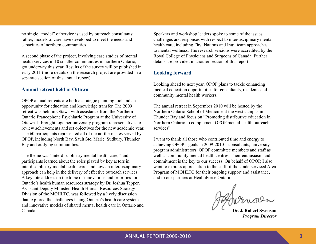no single "model" of service is used by outreach consultants; rather, models of care have developed to meet the needs and capacities of northern communities.

A second phase of the project, involving case studies of mental health services in 10 smaller communities in northern Ontario, got underway this year. Results of the survey will be published in early 2011 (more details on the research project are provided in a separate section of this annual report).

## **Annual retreat held in Ottawa**

OPOP annual retreats are both a strategic planning tool and an opportunity for education and knowledge transfer. The 2009 retreat was held in Ottawa with assistance from the Northern Ontario Francophone Psychiatric Program at the University of Ottawa. It brought together university program representatives to review achievements and set objectives for the new academic year. The 60 participants represented all of the northern sites served by OPOP, including North Bay, Sault Ste. Marie, Sudbury, Thunder Bay and outlying communities.

The theme was "interdisciplinary mental health care," and participants learned about the roles played by key actors in interdisciplinary mental health care, and how an interdisciplinary approach can help in the delivery of effective outreach services. A keynote address on the topic of innovations and priorities for Ontario's health human resources strategy by Dr. Joshua Tepper, Assistant Deputy Minister, Health Human Resources Strategy Division of the MOHLTC, was followed by a lively discussion that explored the challenges facing Ontario's health care system and innovative models of shared mental health care in Ontario and Canada.

Speakers and workshop leaders spoke to some of the issues, challenges and responses with respect to interdisciplinary mental health care, including First Nations and Inuit team approaches to mental wellness. The research sessions were accredited by the Royal College of Physicians and Surgeons of Canada. Further details are provided in another section of this report.

## **Looking forward**

Looking ahead to next year, OPOP plans to tackle enhancing medical education opportunities for consultants, residents and community mental health workers.

The annual retreat in September 2010 will be hosted by the Northern Ontario School of Medicine at the west campus in Thunder Bay and focus on "Promoting distributive education in Northern Ontario to complement OPOP mental health outreach services".

I want to thank all those who contributed time and energy to achieving OPOP's goals in 2009-2010 – consultants, university program administrators, OPOP committee members and staff as well as community mental health centres. Their enthusiasm and commitment is the key to our success. On behalf of OPOP, I also want to express appreciation to the staff of the Underserviced Area Program of MOHLTC for their ongoing support and assistance, and to our partners at HealthForce Ontario.

**Dr. J. Robert Swenson** *Program Director*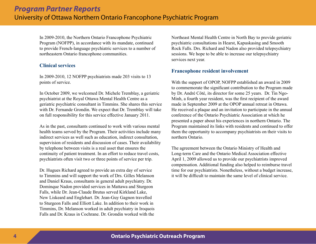In 2009-2010, the Northern Ontario Francophone Psychiatric Program (NOFPP), in accordance with its mandate, continued to provide French-language psychiatric services to a number of northeastern Ontario francophone communities.

## **Clinical services**

In 2009-2010, 12 NOFPP psychiatrists made 203 visits to 13 points of service.

In October 2009, we welcomed Dr. Michele Tremblay, a geriatric psychiatrist at the Royal Ottawa Mental Health Centre as a geriatric psychiatric consultant in Timmins. She shares this service with Dr. Fernande Grondin. We expect that Dr. Tremblay will take on full responsibility for this service effective January 2011.

As in the past, consultants continued to work with various mental health teams served by the Program. Their activities include many indirect services as well such as education, indirect consultation, supervision of residents and discussion of cases. Their availability by telephone between visits is a real asset that ensures the continuity of patient treatment. In an effort to reduce travel costs, psychiatrists often visit two or three points of service per trip.

Dr. Hugues Richard agreed to provide an extra day of service to Timmins and will support the work of Drs. Gilles Melanson and Daniel Kraus, consultants in general adult psychiatry. Dr. Dominque Nadon provided services in Mattawa and Sturgeon Falls, while Dr. Jean-Claude Brutus served Kirkland Lake, New Liskeard and Englehart. Dr. Jean-Guy Gagnon travelled to Sturgeon Falls and Elliott Lake. In addition to their work in Timmins, Dr. Melanson worked in adult psychiatry in Iroquois Falls and Dr. Kraus in Cochrane. Dr. Grondin worked with the Northeast Mental Health Centre in North Bay to provide geriatric psychiatric consultations in Hearst, Kapuskasing and Smooth Rock Falls. Drs. Richard and Nadon also provided telepsychiatry sessions. We hope to be able to increase our telepsychiatry services next year.

# **Francophone resident involvement**

With the support of OPOP, NOFPP established an award in 2009 to commemorate the significant contribution to the Program made by Dr. André Côté, its director for some 25 years. Dr. Tin Ngo-Minh, a fourth year resident, was the first recipient of the award made in September 2009 at the OPOP annual retreat in Ottawa. He received a plaque and an invitation to participate in the annual conference of the Ontario Psychiatric Association at which he presented a paper about his experiences in northern Ontario. The Program maintained its links with residents and continued to offer them the opportunity to accompany psychiatrists on their visits to northern Ontario.

The agreement between the Ontario Ministry of Health and Long-term Care and the Ontario Medical Association effective April 1, 2009 allowed us to provide our psychiatrists improved compensation. Additional funding also helped to reimburse travel time for our psychiatrists. Nonetheless, without a budget increase, it will be difficult to maintain the same level of clinical service.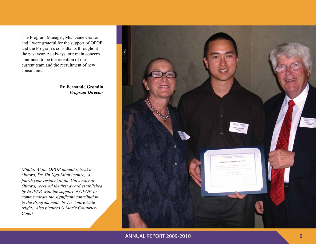The Program Manager, Ms. Diane Gratton, and I were grateful for the support of OPOP and the Program's consultants throughout the past year. As always, our main concern continued to be the retention of our current team and the recruitment of new consultants.

> **Dr. Fernande Grondin** *Program Director*

*(Photo: At the OPOP annual retreat in Ottawa, Dr. Tin Ngo-Minh (centre), a fourth year resident at the University of Ottawa, received the first award established by NOFPP, with the support of OPOP, to commemorate the significant contribution to the Program made by Dr. André Côté (right). Also pictured is Marie Couturier-Côté.)*

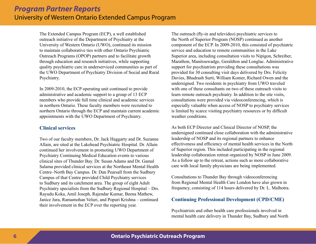The Extended Campus Program (ECP), a well established outreach initiative of the Department of Psychiatry at the University of Western Ontario (UWO), continued its mission to maintain collaborative ties with other Ontario Psychiatric Outreach Programs (OPOP) partners and to facilitate growth through education and research initiatives, while supporting quality psychiatric care in underserviced communities as part of the UWO Department of Psychiatry Division of Social and Rural Psychiatry.

In 2009-2010, the ECP operating unit continued to provide administrative and academic support to a group of 13 ECP members who provide full time clinical and academic services in northern Ontario. These faculty members were recruited to northern Ontario through the ECP and maintain current academic appointments with the UWO Department of Psychiatry.

# **Clinical services**

Two of our faculty members, Dr. Jack Haggarty and Dr. Suzanne Allain, are sited at the Lakehead Psychiatric Hospital. Dr. Allain continued her involvement in promoting UWO Department of Psychiatry Continuing Medical Education events to various clinical sites of Thunder Bay. Dr. Susan Adams and Dr. Gamal Salama provided clinical services at the Northeast Mental Health Centre–North Bay Campus. Dr. Dan Pearsall from the Sudbury Campus of that Centre provided Child Psychiatry services to Sudbury and its catchment area. The group of eight Adult Psychiatry specialists from the Sudbury Regional Hospital – Drs. Rayudu Koka, Amil Joseph, Rajendar Kumar, Beena Mathew, Janice Jura, Ramamohan Veluri, and Popuri Krishna – continued their involvement in the ECP over the reporting year.

The outreach (fly-in and televideo) psychiatric services to the North of Superior Program (NOSP) continued as another component of the ECP. In 2009-2010, this consisted of psychiatric service and education to remote communities in the Lake Superior area, including consultation visits to Nipigon, Schreiber, Marathon, Manitouwadge, Geraldton and Longlac. Administrative support for psychiatrists providing these consultations was provided for 30 consulting visit days delivered by Drs. Felicity Davies, Bhadrash Surti, William Komer, Richard Owen and the undersigned. Two residents in psychiatry from UWO traveled with one of these consultants on two of these outreach visits to learn remote outreach psychiatry. In addition to the site visits, consultations were provided via videoconferencing, which is especially valuable when access of NOSP to psychiatry services is limited by scarce visiting psychiatry resources or by difficult weather conditions.

As both ECP Director and Clinical Director of NOSP, the undersigned continued close collaboration with the administrative leadership of NOSP and its regional partners to enhance effectiveness and efficiency of mental health services in the North of Superior region. This included participating in the regional leadership collaboration retreat organized by NOSP in June 2009. As a follow up to the retreat, actions such as more collaborative care with local family physicians are being implemented.

Consultations to Thunder Bay through videoconferencing from Regional Mental Health Care London have also grown in frequency, consisting of 114 hours delivered by Dr. L. Malhotra.

# **Continuing Professional Development (CPD/CME)**

Psychiatrists and other health care professionals involved in mental health care delivery in Thunder Bay, Sudbury and North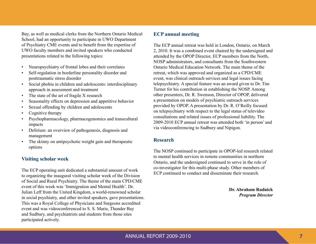Bay, as well as medical clerks from the Northern Ontario Medical School, had an opportunity to participate in UWO Department of Psychiatry CME events and to benefit from the expertise of UWO faculty members and invited speakers who conducted presentations related to the following topics:

- Neuropsychiatry of frontal lobes and their correlates
- Self-regulation in borderline personality disorder and posttraumatic stress disorder
- Social phobia in children and adolescents: interdisciplinary approach in assessment and treatment
- The state of the art of fragile X research
- Seasonality effects on depression and appetitive behavior
- Sexual offending by children and adolescents
- Cognitive therapy
- Psychopharmacology, pharmacogenomics and transcultural impacts
- Delirium: an overview of pathogenesis, diagnosis and management
- The skinny on antipsychotic weight gain and therapeutic options

# **Visiting scholar week**

The ECP operating unit dedicated a substantial amount of work to organizing the inaugural visiting scholar week of the Division of Social and Rural Psychiatry. The theme of the main CPD/CME event of this week was 'Immigration and Mental Health'. Dr. Julian Leff from the United Kingdom, a world-renowned scholar in social psychiatry, and other invited speakers, gave presentations. This was a Royal College of Physicians and Surgeons accredited event and was videoconferenced to S. S. Marie, Thunder Bay and Sudbury, and psychiatrists and students from those sites participated actively.

### **ECP annual meeting**

The ECP annual retreat was held in London, Ontario, on March 2, 2010. It was a combined event chaired by the undersigned and attended by the OPOP Director, ECP members from the North, NOSP administrators, and consultants from the Southwestern Ontario Medical Education Network. The main theme of the retreat, which was approved and organized as a CPD/CME event, was clinical outreach services and legal issues facing telepsychiatry. A special feature was an award given to Dr. Tim Turner for his contribution in establishing the NOSP. Among other presenters, Dr. R. Swenson, Director of OPOP, delivered a presentation on models of psychiatric outreach services provided by OPOP. A presentation by Dr. R. O'Reilly focused on telepsychiatry with respect to the legal status of televideo consultations and related issues of professional liability. The 2009-2010 ECP annual retreat was attended both 'in person' and via videoconferencing to Sudbury and Nipigon.

#### **Research**

The NOSP continued to participate in OPOP-led research related to mental health services in remote communities in northern Ontario, and the undersigned continued to serve in the role of co-investigator for this multi-phase study. Other members of ECP continued to conduct and disseminate their research.

> **Dr. Abraham Rudnick** *Program Director*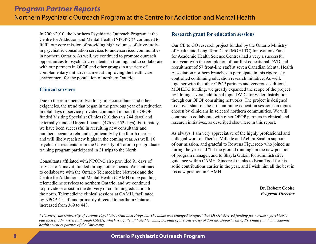In 2009-2010, the Northern Psychiatric Outreach Program at the Centre for Addiction and Mental Health (NPOP-C)\* continued to fulfill our core mission of providing high volumes of drive-in/flyin psychiatric consultation services to underserviced communities in northern Ontario. As well, we continued to promote outreach opportunities to psychiatric residents in training, and to collaborate with our partners in OPOP and other groups in a variety of complementary initiatives aimed at improving the health care environment for the population of northern Ontario.

## **Clinical services**

Due to the retirement of two long-time consultants and other exigencies, the trend that began in the previous year of a reduction in total days of service provided continued in both the OPOPfunded Visiting Specialist Clinics (210 days vs 244 days) and externally funded Urgent Locums (476 vs 552 days). Fortunately, we have been successful in recruiting new consultants and numbers began to rebound significantly by the fourth quarter and will likely reach new highs in the coming year. As well, 16 psychiatric residents from the University of Toronto postgraduate training program participated in 21 trips to the North.

Consultants affiliated with NPOP-C also provided 91 days of service to Nunavut, funded through other means. We continued to collaborate with the Ontario Telemedicine Network and the Centre for Addiction and Mental Health (CAMH) in expanding telemedicine services to northern Ontario, and we continued to provide or assist in the delivery of continuing education to the north. Telemedicine clinical sessions at CAMH, facilitated by NPOP-C staff and primarily directed to northern Ontario, increased from 369 to 448.

#### **Research grant for education sessions**

Our CE to GO research project funded by the Ontario Ministry of Health and Long-Term Care (MOHLTC) Innovations Fund for Academic Health Science Centres had a very a successful first year, with the completion of our first educational DVD and recruitment of 57 front-line staff at seven Canadian Mental Health Association northern branches to participate in this rigorously controlled continuing education research initiative. As well, together with the other OPOP partners and generous additional MOHLTC funding, we greatly expanded the scope of the project by filming several additional topic DVDs for wider distribution though our OPOP consulting networks. The project is designed to deliver state-of-the-art continuing education sessions on topics chosen by clinicians in selected northern communities. We will continue to collaborate with other OPOP partners in clinical and research initiatives, as described elsewhere in this report.

As always, I am very appreciative of the highly professional and collegial work of Thérèse Millette and Achira Saad in support of our mission, and grateful to Rowena Figueredo who joined us during the year and "hit the ground running" in the new position of program manager, and to Shayla Gutzin for administrative guidance within CAMH. Sincerest thanks to Evan Todd for his solid contributions earlier in the year, and I wish him all the best in his new position in CAMH.

> **Dr. Robert Cooke** *Program Director*

*\* Formerly the University of Toronto Psychiatric Outreach Program. The name was changed to reflect that OPOP-derived funding for northern psychiatric outreach is administered through CAMH, which is a fully affiliated teaching hospital of the University of Toronto Department of Psychiatry and an academic health sciences partner of the University.*

# **8 Ontario Psychiatric Outreach Program**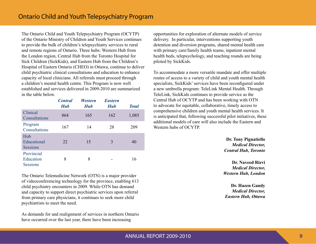The Ontario Child and Youth Telepsychiatry Program (OCYTP) of the Ontario Ministry of Children and Youth Services continues to provide the bulk of children's telepsychiatry services to rural and remote regions of Ontario. Three hubs: Western Hub from the London region, Central Hub from the Toronto Hospital for Sick Children (SickKids), and Eastern Hub from the Children's Hospital of Eastern Ontario (CHEO) in Ottawa, continue to deliver child psychiatric clinical consultations and education to enhance capacity of local clinicians. All referrals must proceed through a children's mental health centre. This Program is now well established and services delivered in 2009-2010 are summarized in the table below.

|                                            | <b>Central</b><br><b>Hub</b> | <b>Western</b><br><b>Hub</b> | <b>Eastern</b><br><b>Hub</b> | <b>Total</b> |
|--------------------------------------------|------------------------------|------------------------------|------------------------------|--------------|
| Clinical<br>Consultations                  | 864                          | 165                          | 162                          | 1,085        |
| Program<br>Consultations                   | 167                          | 14                           | 28                           | 209          |
| Hub<br>Educational<br>Sessions             | 22                           | 15                           | 3                            | 40           |
| Provincial<br>Education<br><b>Sessions</b> | 8                            | 8                            |                              | 16           |

The Ontario Telemedicine Network (OTN) is a major provider of videoconferencing technology for the province, enabling 613 child psychiatry encounters in 2009. While OTN has demand and capacity to support direct psychiatric services upon referral from primary care physicians, it continues to seek more child psychiatrists to meet the need.

As demands for and realignment of services in northern Ontario have occurred over the last year, there have been increasing

opportunities for exploration of alternate models of service delivery. In particular, interventions supporting youth detention and diversion programs, shared mental health care with primary care/family health teams, inpatient mental health beds, telepsychology, and teaching rounds are being piloted by SickKids.

To accommodate a more versatile mandate and offer multiple routes of access to a variety of child and youth mental health specialists, SickKids' services have been reconfigured under a new umbrella program: TeleLink Mental Health. Through TeleLink, SickKids continues to provide service as the Central Hub of OCYTP and has been working with OTN to advocate for equitable, collaborative, timely access to comprehensive children and youth mental health services. It is anticipated that, following successful pilot initiatives, these additional models of care will also include the Eastern and Western hubs of OCYTP.

> **Dr. Tony Pignatiello** *Medical Director, Central Hub, Toronto*

**Dr. Naveed Rizvi** *Medical Director, Western Hub, London*

**Dr. Hazen Gandy** *Medical Director, Eastern Hub, Ottawa*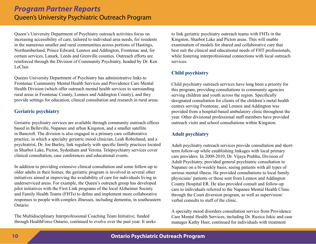Queen's University Department of Psychiatry outreach activities focus on increasing accessibility of care, tailored to individual area needs, for residents in the numerous smaller and rural communities across portions of Hastings, Northumberland, Prince Edward, Lennox and Addington, Frontenac and, for certain services, Lanark, Leeds and Grenville counties. Outreach efforts are reinforced through the Division of Community Psychiatry, headed by Dr. Ken LeClair.

Queens University Department of Psychiatry has administrative links to Frontenac Community Mental Health Services and Providence Care Mental Health Division (which offer outreach mental health services to surrounding rural areas in Frontenac County, Lennox and Addington County), and they provide settings for education, clinical consultation and research in rural areas.

# **Geriatric psychiatry**

Geriatric psychiatry services are available through community outreach offices based in Belleville, Napanee and urban Kingston, and a smaller satellite in Bancroft. The division is also engaged in a primary care collaborative practice, in which a specialty geriatric mood clinician, Leah Robichaud, and a psychiatrist, Dr. Joe Burley, link regularly with specific family practices located in Sharbot Lake, Picton, Sydenham and Verona. Telepsychiatry services cover clinical consultation, case conferences and educational events.

In addition to providing extensive clinical consultation and some follow-up to older adults in their homes, the geriatric program is involved in several other initiatives aimed at improving the availability of care for individuals living in underserviced areas. For example, the Queen's outreach group has developed pilot initiatives with the First Link programs of the local Alzheimer Society and Family Health Teams (FHTs) to define and implement more collaborative responses to people with complex illnesses, including dementia, in southeastern Ontario.

The Multidisciplinary Interprofessional Coaching Team Initiative, funded through HealthForce Ontario, continued to evolve over the past year. It seeks to link geriatric psychiatry outreach teams with FHTs in the Kingston, Sharbot Lake and Picton areas. This will enable examination of models for shared and collaborative care that best suit the clinical and educational needs of FHT professionals, while fostering interprofessional connections with local outreach services.

# **Child psychiatry**

Child psychiatry outreach services have long been a priority for this program, providing consultations to community agencies serving children and youth across the region. Specifically designated consultation for clients of the children's metal health centres serving Frontenac, and Lennox and Addington was provided from a hospital-based ambulatory clinic throughout the year. Other divisional professional staff members have provided outreach visits and school consultations within Kingston.

# **Adult psychiatry**

Adult psychiatry outreach services provide consultation and shortterm follow-up while establishing linkages with local primary care providers. In 2009-2010, Dr. Vijaya Prabhu, Division of Adult Psychiatry, provided general psychiatric consultation to Napanee on a bi-weekly basis, seeing patients with all types of serious mental illness. He provided consultations to local family physicians' patients or those sent from Lennox and Addington County Hospital ER. He also provided consult and follow-up care to individuals referred to the Napanee Mental Health Clinic through the Court diversion program, as well as supervision/ verbal consults to staff of the clinic.

A specialty mood disorders consultation service from Providence Care Mental Health Services, including Dr. Ruzica Jokic and case manager Kathy Heer, continued for individuals with treatment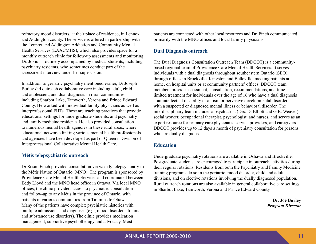refractory mood disorders, at their place of residence, in Lennox and Addington county. The service is offered in partnership with the Lennox and Addington Addiction and Community Mental Health Services (LAACMHS), which also provides space for a monthly outreach clinic for follow-up assessments and monitoring. Dr. Jokic is routinely accompanied by medical students, including psychiatry residents, who sometimes conduct part of the assessment interview under her supervision.

In addition to geriatric psychiatry mentioned earlier, Dr Joseph Burley did outreach collaborative care including adult, child and adolescent, and dual diagnosis in rural communities including Sharbot Lake, Tamworth, Verona and Prince Edward County. He worked with individual family physicians as well as interprofessional FHTs. These are teaching practices that provide educational settings for undergraduate students, and psychiatry and family medicine residents. He also provided consultation to numerous mental health agencies in these rural areas, where educational networks linking various mental health professionals and agencies have been developed as part of Queen's Division of Interprofessional Collaborative Mental Health Care.

#### **Métis telepsychiatric outreach**

Dr Susan Finch provided consultation via weekly telepsychiatry to the Métis Nation of Ontario (MNO). The program is sponsored by Providence Care Mental Health Services and coordinated between Eddy Lloyd and the MNO head office in Ottawa. Via local MNO offices, the clinic provided access to psychiatric consultation and follow-up to any Métis in the province of Ontario, with patients in various communities from Timmins to Ottawa. Many of the patients have complex psychiatric histories with multiple admissions and diagnoses (e.g., mood disorders, trauma, and substance use disorders). The clinic provides medication management, supportive psychotherapy and advocacy. Most

patients are connected with other local resources and Dr. Finch communicated primarily with the MNO offices and local family physicians.

#### **Dual Diagnosis outreach**

The Dual Diagnosis Consultation Outreach Team (DDCOT) is a communitybased regional team of Providence Care Mental Health Services. It serves individuals with a dual diagnosis throughout southeastern Ontario (SEO), through offices in Brockville, Kingston and Belleville, meeting patients at home, on hospital units or at community partners' offices. DDCOT team members provide assessment, consultation, recommendations, and timelimited treatment for individuals over the age of 16 who have a dual diagnosis – an intellectual disability or autism or pervasive developmental disorder, with a suspected or diagnosed mental illness or behavioral disorder. The interdisciplinary team includes a psychiatrist (Drs. D. Elliott and G.B. Weaver), social worker, occupational therapist, psychologist, and nurses, and serves as an expert resource for primary care physicians, service providers, and caregivers. DDCOT provides up to 12 days a month of psychiatry consultation for persons who are dually diagnosed.

#### **Education**

Undergraduate psychiatry rotations are available in Oshawa and Brockville. Postgraduate students are encouraged to participate in outreach activities during their regular rotations. Residents from both the Psychiatry and Family Medicine training programs do so in the geriatric, mood disorder, child and adult divisions, and on elective rotations involving the dually diagnosed population. Rural outreach rotations are also available in general collaborative care settings in Sharbot Lake, Tamworth, Verona and Prince Edward County.

> **Dr. Joe Burley** *Program Director*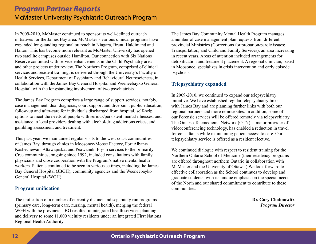In 2009-2010, McMaster continued to sponsor its well-defined outreach initiatives for the James Bay area. McMaster's various clinical programs have expanded longstanding regional outreach in Niagara, Brant, Haldimand and Halton. This has become more relevant as McMaster University has opened two satellite campuses outside Hamilton. Our connection with Six Nations Reserve continued with service enhancements in the Child Psychiatry area and other projects under review. The Northern Program, comprised of clinical services and resident training, is delivered through the University's Faculty of Health Services, Department of Psychiatry and Behavioural Neurosciences, in collaboration with the James Bay General Hospital and Weeneebayko General Hospital, with the longstanding involvement of two psychiatrists.

The James Bay Program comprises a large range of support services, notably, case management, dual diagnosis, court support and diversion, public education, follow-up and after-care for individuals discharged from hospital, self-help options to meet the needs of people with serious/persistent mental illnesses, and assistance to local providers dealing with alcohol/drug addictions crises, and gambling assessment and treatment.

This past year, we maintained regular visits to the west-coast communities of James Bay, through clinics in Moosonee/Moose Factory, Fort Albany/ Kashechewan, Attawapiskat and Peawanuk. Fly-in services to the primarily Cree communities, ongoing since 1992, included consultations with family physicians and close cooperation with the Program's native mental health workers. Patients continued to be seen in various settings, including the James Bay General Hospital (JBGH), community agencies and the Weeneebayko General Hospital (WGH).

# **Program unification**

The unification of a number of currently distinct and separately run programs (primary care, long-term care, nursing, mental health), merging the federal WGH with the provincial JBG resulted in integrated health services planning and delivery to some 11,000 vicinity residents under an integrated First Nations Regional Health Authority.

The James Bay Community Mental Health Program manages a number of case management plan requests from different provincial Ministries (Corrections for probation/parole issues; Transportation, and Child and Family Services), an area increasing in recent years. Areas of attention included arrangements for detoxification and treatment placement. A regional clinician, based in Moosonee, specializes in crisis intervention and early episode psychosis.

# **Telepsychiatry expanded**

In 2009-2010, we continued to expand our telepsychiatry initiative. We have established regular telepsychiatry links with James Bay and are planning further links with both our regional partners and more remote sites. In addition, some of our Forensic services will be offered remotely via telepsychiatry. The Ontario Telemedicine Network (OTN), a major provider of videoconferencing technology, has enabled a reduction in travel for consultants while maintaining patient access to care. Our telepsychiatry service is offered as a resident elective.

We continued dialogue with respect to resident training for the Northern Ontario School of Medicine (their residency programs are offered throughout northern Ontario in collaboration with McMaster and the University of Ottawa.) We look forward to effective collaboration as the School continues to develop and graduate students, with its unique emphasis on the special needs of the North and our shared commitment to contribute to these communities.

> **Dr. Gary Chaimowitz** *Program Director*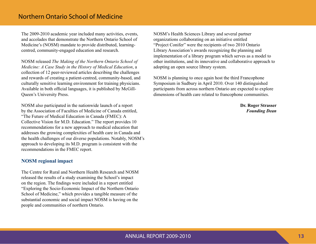The 2009-2010 academic year included many activities, events, and accolades that demonstrate the Northern Ontario School of Medicine's (NOSM) mandate to provide distributed, learningcentred, community-engaged education and research.

NOSM released *The Making of the Northern Ontario School of Medicine: A Case Study in the History of Medical Education*, a collection of 12 peer-reviewed articles describing the challenges and rewards of creating a patient-centred, community-based, and culturally sensitive learning environment for training physicians. Available in both official languages, it is published by McGill-Queen's University Press.

NOSM also participated in the nationwide launch of a report by the Association of Faculties of Medicine of Canada entitled, "The Future of Medical Education in Canada (FMEC): A Collective Vision for M.D. Education." The report provides 10 recommendations for a new approach to medical education that addresses the growing complexities of health care in Canada and the health challenges of our diverse populations. Notably, NOSM's approach to developing its M.D. program is consistent with the recommendations in the FMEC report.

# **NOSM regional impact**

The Centre for Rural and Northern Health Research and NOSM released the results of a study examining the School's impact on the region. The findings were included in a report entitled "Exploring the Socio-Economic Impact of the Northern Ontario School of Medicine," which provides a tangible measure of the substantial economic and social impact NOSM is having on the people and communities of northern Ontario.

NOSM's Health Sciences Library and several partner organizations collaborating on an initiative entitled "Project Conifer" were the recipients of two 2010 Ontario Library Association's awards recognizing the planning and implementation of a library program which serves as a model to other institutions, and its innovative and collaborative approach to adopting an open source library system.

NOSM is planning to once again host the third Francophone Symposium in Sudbury in April 2010. Over 140 distinguished participants from across northern Ontario are expected to explore dimensions of health care related to francophone communities.

> **Dr. Roger Strasser** *Founding Dean*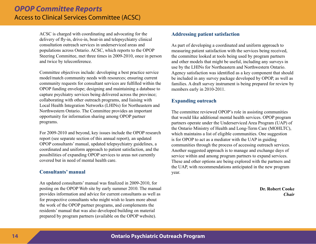ACSC is charged with coordinating and advocating for the delivery of fly-in, drive-in, boat-in and telepsychiatry clinical consultation outreach services in underserviced areas and populations across Ontario. ACSC, which reports to the OPOP Steering Committee, met three times in 2009-2010, once in person and twice by teleconference.

Committee objectives include: developing a best practice service model/match community needs with resources; ensuring current community requests for consultant services are fulfilled within the OPOP funding envelope; designing and maintaining a database to capture psychiatry services being delivered across the province; collaborating with other outreach programs, and liaising with Local Health Integration Networks (LHINs) for Northeastern and Northwestern Ontario. The Committee provides an important opportunity for information sharing among OPOP partner programs.

For 2009-2010 and beyond, key issues include the OPOP research report (see separate section of this annual report), an updated OPOP consultants' manual, updated telepsychiatry guidelines, a coordinated and uniform approach to patient satisfaction, and the possibilities of expanding OPOP services to areas not currently covered but in need of mental health care.

# **Consultants' manual**

An updated consultants' manual was finalized in 2009-2010, for posting on the OPOP Web site by early summer 2010. The manual provides information and advice for current consultants as well as for prospective consultants who might wish to learn more about the work of the OPOP partner programs, and complements the residents' manual that was also developed building on material prepared by program partners (available on the OPOP website).

# **Addressing patient satisfaction**

As part of developing a coordinated and uniform approach to measuring patient satisfaction with the services being received, the committee looked at tools being used by program partners and other models that might be useful, including any surveys in use by the LHINs for Northeastern and Northwestern Ontario. Agency satisfaction was identified as a key component that should be included in any survey package developed by OPOP, as well as families. A draft survey instrument is being prepared for review by members early in 2010-2011.

# **Expanding outreach**

The committee reviewed OPOP's role in assisting communities that would like additional mental health services. OPOP program partners operate under the Underserviced Area Program (UAP) of the Ontario Ministry of Health and Long-Term Care (MOHLTC), which maintains a list of eligible communities. One suggestion is for OPOP to act as a mediator with the UAP in guiding communities through the process of accessing outreach services. Another suggested approach is to manage and exchange days of service within and among program partners to expand services. These and other options are being explored with the partners and the UAP, with recommendations anticipated in the new program year.

> **Dr. Robert Cooke** *Chair*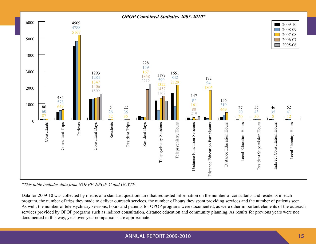

*\*This table includes data from NOFPP, NPOP-C and OCYTP.* 

Data for 2009-10 was collected by means of a standard questionnaire that requested information on the number of consultants and residents in each program, the number of trips they made to deliver outreach services, the number of hours they spent providing services and the number of patients seen. As well, the number of telepsychiatry sessions, hours and patients for OPOP programs were documented, as were other important elements of the outreach services provided by OPOP programs such as indirect consultation, distance education and community planning. As results for previous years were not documented in this way, year-over-year comparisons are approximate.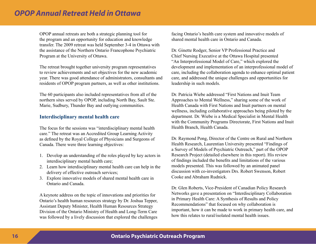OPOP annual retreats are both a strategic planning tool for the program and an opportunity for education and knowledge transfer. The 2009 retreat was held September 3-4 in Ottawa with the assistance of the Northern Ontario Francophone Psychiatric Program at the University of Ottawa.

The retreat brought together university program representatives to review achievements and set objectives for the new academic year. There was good attendance of administrators, consultants and residents of OPOP program partners, as well as other institutions.

The 60 participants also included representatives from all of the northern sites served by OPOP, including North Bay, Sault Ste. Marie, Sudbury, Thunder Bay and outlying communities.

# **Interdisciplinary mental health care**

The focus for the sessions was "interdisciplinary mental health care." The retreat was an Accredited Group Learning Activity as defined by the Royal College of Physicians and Surgeons of Canada. There were three learning objectives:

- 1. Develop an understanding of the roles played by key actors in interdisciplinary mental health care;
- 2. Learn how interdisciplinary mental health care can help in the delivery of effective outreach services;
- 3. Explore innovative models of shared mental health care in Ontario and Canada.

A keynote address on the topic of innovations and priorities for Ontario's health human resources strategy by Dr. Joshua Tepper, Assistant Deputy Minister, Health Human Resources Strategy Division of the Ontario Ministry of Health and Long-Term Care was followed by a lively discussion that explored the challenges

facing Ontario's health care system and innovative models of shared mental health care in Ontario and Canada.

Dr. Ginette Rodger, Senior VP Professional Practice and Chief Nursing Executive at the Ottawa Hospital presented "An Interprofessional Model of Care," which explored the development and implementation of an interprofessional model of care, including the collaboration agenda to enhance optimal patient care, and addressed the unique challenges and opportunities for leadership in such models.

Dr. Patricia Wiebe addressed "First Nations and Inuit Team Approaches to Mental Wellness," sharing some of the work of Health Canada with First Nations and Inuit partners on mental wellness, including collaborative approaches being piloted by the department. Dr. Wiebe is a Medical Specialist in Mental Health with the Community Programs Directorate, First Nations and Inuit Health Branch, Health Canada.

Dr. Raymond Pong, Director of the Centre on Rural and Northern Health Research, Laurentian University presented "Findings of a Survey of Models of Psychiatric Outreach," part of the OPOP Research Project (detailed elsewhere in this report). His review of findings included the benefits and limitations of the various models presented. This was followed by an animated panel discussion with co-investigators Drs. Robert Swenson, Robert Cooke and Abraham Rudnick.

Dr. Glen Roberts, Vice-President of Canadian Policy Research Networks gave a presentation on "Interdisciplinary Collaboration in Primary Health Care: A Synthesis of Results and Policy Recommendations" that focused on why collaboration is important, how it can be made to work in primary health care, and how this relates to rural/isolated mental health issues.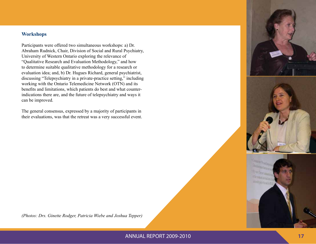#### **Workshops**

Participants were offered two simultaneous workshops: a) Dr. Abraham Rudnick, Chair, Division of Social and Rural Psychiatry, University of Western Ontario exploring the relevance of "Qualitative Research and Evaluation Methodology," and how to determine suitable qualitative methodology for a research or evaluation idea; and, b) Dr. Hugues Richard, general psychiatrist, discussing "Telepsychiatry in a private-practice setting," including working with the Ontario Telemedicine Network (OTN) and its benefits and limitations, which patients do best and what counterindications there are, and the future of telepsychiatry and ways it can be improved.

The general consensus, expressed by a majority of participants in their evaluations, was that the retreat was a very successful event.

*(Photos: Drs. Ginette Rodger, Patricia Wiebe and Joshua Tepper)*



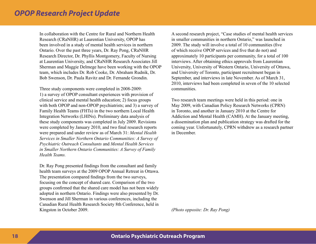In collaboration with the Centre for Rural and Northern Health Research (CRaNHR) at Laurentian University, OPOP has been involved in a study of mental health services in northern Ontario. Over the past three years, Dr. Ray Pong, CRaNHR Research Director, Dr. Phyllis Montgomery, Faculty of Nursing at Laurentian University, and CRaNHR Research Associates Jill Sherman and Maggie Delmege have been working with the OPOP team, which includes Dr. Rob Cooke, Dr. Abraham Rudnik, Dr. Bob Swenson, Dr. Paula Ravitz and Dr. Fernande Grondin.

Three study components were completed in 2008-2009: 1) a survey of OPOP consultant experiences with provision of clinical service and mental health education; 2) focus groups with both OPOP and non-OPOP psychiatrists; and 3) a survey of Family Health Teams (FHTs) in the two northern Local Health Integration Networks (LHINs). Preliminary data analysis of these study components was completed in July 2009. Revisions were completed by January 2010, and two final research reports were prepared and under review as of March 31: *Mental Health Services in Smaller Northern Ontario Communities: A Survey of Psychiatric Outreach Consultants* and *Mental Health Services in Smaller Northern Ontario Communities: A Survey of Family Health Teams.*

Dr. Ray Pong presented findings from the consultant and family health team surveys at the 2009 OPOP Annual Retreat in Ottawa. The presentation compared findings from the two surveys, focusing on the concept of shared care. Comparison of the two groups confirmed that the shared care model has not been widely adopted in northern Ontario. Findings were also presented by Dr. Swenson and Jill Sherman in various conferences, including the Canadian Rural Health Research Society 8th Conference, held in Kingston in October 2009.

A second research project, "Case studies of mental health services in smaller communities in northern Ontario," was launched in 2009. The study will involve a total of 10 communities (five of which receive OPOP services and five that do not) and approximately 10 participants per community, for a total of 100 interviews. After obtaining ethics approvals from Laurentian University, University of Western Ontario, University of Ottawa, and University of Toronto, participant recruitment began in September, and interviews in late November. As of March 31, 2010, interviews had been completed in seven of the 10 selected communities.

Two research team meetings were held in this period: one in May 2009, with Canadian Policy Research Networks (CPRN) in Toronto, and another in January 2010 at the Centre for Addiction and Mental Health (CAMH). At the January meeting, a dissemination plan and publication strategy was drafted for the coming year. Unfortunately, CPRN withdrew as a research partner in December.

*(Photo opposite: Dr. Ray Pong)*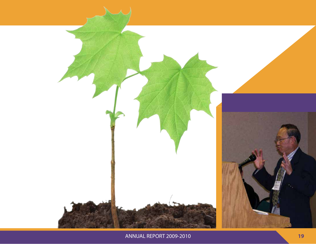

**ONTARIO ANNUAL REPORT 2009-2010 19 19 19 19 19 19 19**